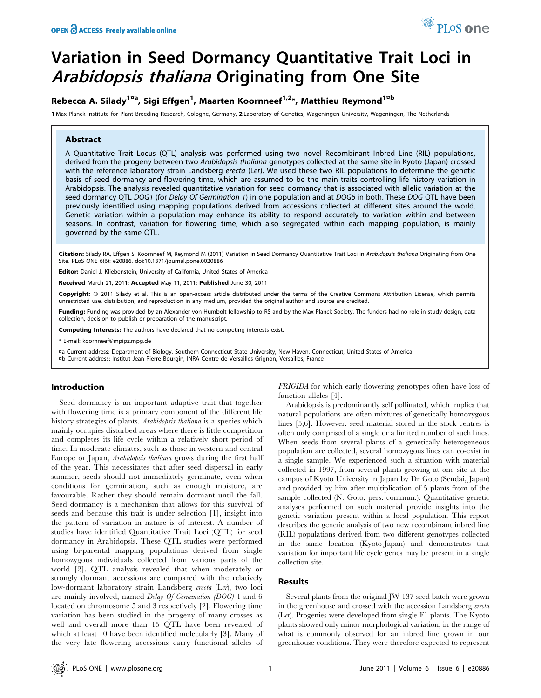# Variation in Seed Dormancy Quantitative Trait Loci in Arabidopsis thaliana Originating from One Site

# Rebecca A. Silady<sup>1¤a</sup>, Sigi Effgen<sup>1</sup>, Maarten Koornneef<sup>1,2</sup>\*, Matthieu Reymond<sup>1¤b</sup>

1 Max Planck Institute for Plant Breeding Research, Cologne, Germany, 2 Laboratory of Genetics, Wageningen University, Wageningen, The Netherlands

#### Abstract

A Quantitative Trait Locus (QTL) analysis was performed using two novel Recombinant Inbred Line (RIL) populations, derived from the progeny between two Arabidopsis thaliana genotypes collected at the same site in Kyoto (Japan) crossed with the reference laboratory strain Landsberg erecta (Ler). We used these two RIL populations to determine the genetic basis of seed dormancy and flowering time, which are assumed to be the main traits controlling life history variation in Arabidopsis. The analysis revealed quantitative variation for seed dormancy that is associated with allelic variation at the seed dormancy QTL DOG1 (for Delay Of Germination 1) in one population and at DOG6 in both. These DOG QTL have been previously identified using mapping populations derived from accessions collected at different sites around the world. Genetic variation within a population may enhance its ability to respond accurately to variation within and between seasons. In contrast, variation for flowering time, which also segregated within each mapping population, is mainly governed by the same QTL.

Citation: Silady RA, Effgen S, Koornneef M, Reymond M (2011) Variation in Seed Dormancy Quantitative Trait Loci in Arabidopsis thaliana Originating from One Site. PLoS ONE 6(6): e20886. doi:10.1371/journal.pone.0020886

Editor: Daniel J. Kliebenstein, University of California, United States of America

Received March 21, 2011; Accepted May 11, 2011; Published June 30, 2011

Copyright: © 2011 Silady et al. This is an open-access article distributed under the terms of the Creative Commons Attribution License, which permits unrestricted use, distribution, and reproduction in any medium, provided the original author and source are credited.

Funding: Funding was provided by an Alexander von Humbolt fellowship to RS and by the Max Planck Society. The funders had no role in study design, data collection, decision to publish or preparation of the manuscript.

Competing Interests: The authors have declared that no competing interests exist.

\* E-mail: koornneef@mpipz.mpg.de

¤a Current address: Department of Biology, Southern Connecticut State University, New Haven, Connecticut, United States of America ¤b Current address: Institut Jean-Pierre Bourgin, INRA Centre de Versailles-Grignon, Versailles, France

#### Introduction

Seed dormancy is an important adaptive trait that together with flowering time is a primary component of the different life history strategies of plants. Arabidopsis thaliana is a species which mainly occupies disturbed areas where there is little competition and completes its life cycle within a relatively short period of time. In moderate climates, such as those in western and central Europe or Japan, Arabidopsis thaliana grows during the first half of the year. This necessitates that after seed dispersal in early summer, seeds should not immediately germinate, even when conditions for germination, such as enough moisture, are favourable. Rather they should remain dormant until the fall. Seed dormancy is a mechanism that allows for this survival of seeds and because this trait is under selection [1], insight into the pattern of variation in nature is of interest. A number of studies have identified Quantitative Trait Loci (QTL) for seed dormancy in Arabidopsis. These QTL studies were performed using bi-parental mapping populations derived from single homozygous individuals collected from various parts of the world [2]. QTL analysis revealed that when moderately or strongly dormant accessions are compared with the relatively low-dormant laboratory strain Landsberg erecta (Ler), two loci are mainly involved, named Delay Of Germination (DOG) 1 and 6 located on chromosome 5 and 3 respectively [2]. Flowering time variation has been studied in the progeny of many crosses as well and overall more than 15 QTL have been revealed of which at least 10 have been identified molecularly [3]. Many of the very late flowering accessions carry functional alleles of

FRIGIDA for which early flowering genotypes often have loss of function alleles [4].

Arabidopsis is predominantly self pollinated, which implies that natural populations are often mixtures of genetically homozygous lines [5,6]. However, seed material stored in the stock centres is often only comprised of a single or a limited number of such lines. When seeds from several plants of a genetically heterogeneous population are collected, several homozygous lines can co-exist in a single sample. We experienced such a situation with material collected in 1997, from several plants growing at one site at the campus of Kyoto University in Japan by Dr Goto (Sendai, Japan) and provided by him after multiplication of 5 plants from of the sample collected (N. Goto, pers. commun.). Quantitative genetic analyses performed on such material provide insights into the genetic variation present within a local population. This report describes the genetic analysis of two new recombinant inbred line (RIL) populations derived from two different genotypes collected in the same location (Kyoto-Japan) and demonstrates that variation for important life cycle genes may be present in a single collection site.

#### Results

Several plants from the original JW-137 seed batch were grown in the greenhouse and crossed with the accession Landsberg erecta (Ler). Progenies were developed from single F1 plants. The Kyoto plants showed only minor morphological variation, in the range of what is commonly observed for an inbred line grown in our greenhouse conditions. They were therefore expected to represent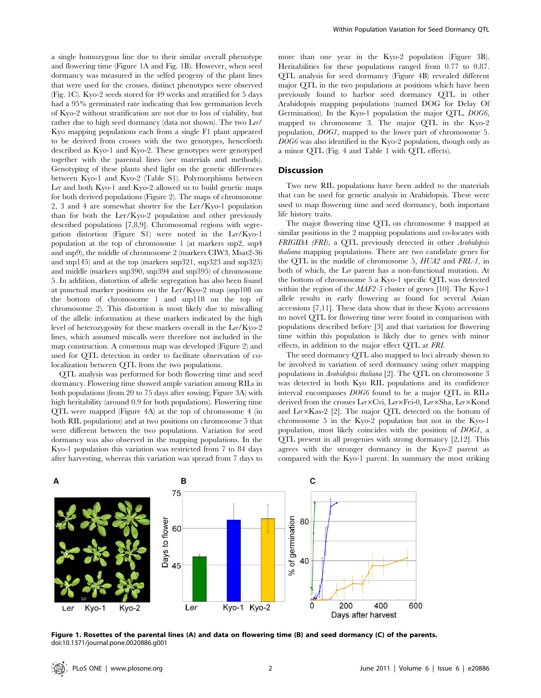a single homozygous line due to their similar overall phenotype and flowering time (Figure 1A and Fig. 1B). However, when seed dormancy was measured in the selfed progeny of the plant lines that were used for the crosses, distinct phenotypes were observed (Fig. 1C). Kyo-2 seeds stored for 49 weeks and stratified for 5 days had a 95% germinated rate indicating that low germination levels of Kyo-2 without stratification are not due to loss of viability, but rather due to high seed dormancy (data not shown). The two Ler/ Kyo mapping populations each from a single F1 plant appeared to be derived from crosses with the two genotypes, henceforth described as Kyo-1 and Kyo-2. These genotypes were genotyped together with the parental lines (see materials and methods). Genotyping of these plants shed light on the genetic differences between Kyo-1 and Kyo-2 (Table S1). Polymorphisms between Ler and both Kyo-1 and Kyo-2 allowed us to build genetic maps for both derived populations (Figure 2). The maps of chromosome 2, 3 and 4 are somewhat shorter for the Ler/Kyo-1 population than for both the Ler/Kyo-2 population and other previously described populations [7,8,9]. Chromosomal regions with segregation distortion (Figure S1) were noted in the Ler/Kyo-1 population at the top of chromosome 1 (at markers snp2, snp4 and snp9), the middle of chromosome 2 (markers CIW3, Msat2-36 and snp145) and at the top (markers snp321, snp323 and snp325) and middle (markers snp390, snp394 and snp395) of chromosome 5. In addition, distortion of allelic segregation has also been found at punctual marker positions on the Ler/Kyo-2 map (snp108 on the bottom of chromosome 1 and snp118 on the top of chromosome 2). This distortion is most likely due to miscalling of the allelic information at these markers indicated by the high level of heterozygosity for these markers overall in the Ler/Kyo-2 lines, which assumed miscalls were therefore not included in the map construction. A consensus map was developed (Figure 2) and used for QTL detection in order to facilitate observation of colocalization between QTL from the two populations.

QTL analysis was performed for both flowering time and seed dormancy. Flowering time showed ample variation among RILs in both populations (from 20 to 75 days after sowing; Figure 3A) with high heritability (around 0.9 for both populations). Flowering time QTL were mapped (Figure 4A) at the top of chromosome 4 (in both RIL populations) and at two positions on chromosome 5 that were different between the two populations. Variation for seed dormancy was also observed in the mapping populations. In the Kyo-1 population this variation was restricted from 7 to 84 days after harvesting, whereas this variation was spread from 7 days to more than one year in the Kyo-2 population (Figure 3B). Heritabilities for these populations ranged from 0.77 to 0.87. QTL analysis for seed dormancy (Figure 4B) revealed different major QTL in the two populations at positions which have been previously found to harbor seed dormancy QTL in other Arabidopsis mapping populations (named DOG for Delay Of Germination). In the Kyo-1 population the major QTL, DOG6, mapped to chromosome 3. The major QTL in the Kyo-2 population, DOG1, mapped to the lower part of chromosome 5. DOG6 was also identified in the Kyo-2 population, though only as a minor QTL (Fig. 4 and Table 1 with QTL effects).

## Discussion

Two new RIL populations have been added to the materials that can be used for genetic analysis in Arabidopsis. These were used to map flowering time and seed dormancy, both important life history traits.

The major flowering time QTL on chromosome 4 mapped at similar positions in the 2 mapping populations and co-locates with FRIGIDA (FRI), a QTL previously detected in other Arabidopsis thaliana mapping populations. There are two candidate genes for the QTL in the middle of chromosome 5, HUA2 and FRL-1, in both of which, the Ler parent has a non-functional mutation. At the bottom of chromosome 5 a Kyo-1 specific QTL was detected within the region of the MAF2-5 cluster of genes [10]. The Kyo-1 allele results in early flowering as found for several Asian accessions [7,11]. These data show that in these Kyoto accessions no novel QTL for flowering time were found in comparison with populations described before [3] and that variation for flowering time within this population is likely due to genes with minor effects, in addition to the major effect QTL at FRI.

The seed dormancy QTL also mapped to loci already shown to be involved in variation of seed dormancy using other mapping populations in Arabidopsis thaliana [2]. The QTL on chromosome 3 was detected in both Kyo RIL populations and its confidence interval encompasses DOG6 found to be a major QTL in RILs derived from the crosses Ler×Cvi, Ler×Fei-0, Ler×Sha, Ler×Kond and Ler $\times$ Kas-2 [2]. The major QTL detected on the bottom of chromosome 5 in the Kyo-2 population but not in the Kyo-1 population, most likely coincides with the position of DOG1, a QTL present in all progenies with strong dormancy [2,12]. This agrees with the stronger dormancy in the Kyo-2 parent as compared with the Kyo-1 parent. In summary the most striking



Figure 1. Rosettes of the parental lines (A) and data on flowering time (B) and seed dormancy (C) of the parents. doi:10.1371/journal.pone.0020886.g001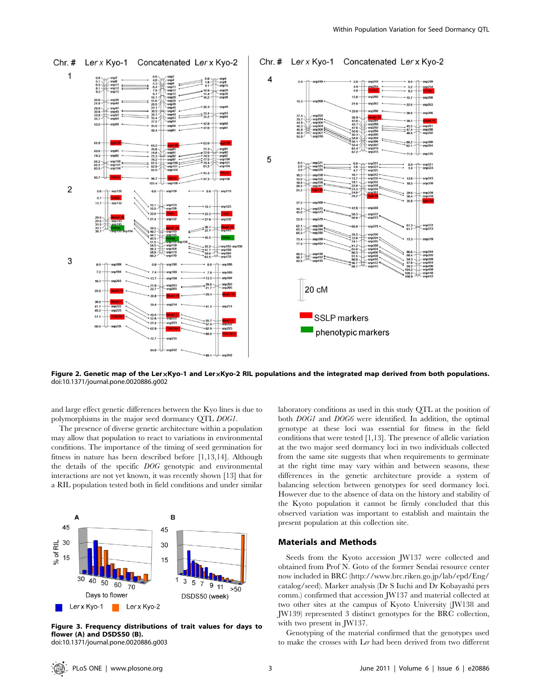

Figure 2. Genetic map of the LerxKyo-1 and LerxKyo-2 RIL populations and the integrated map derived from both populations. doi:10.1371/journal.pone.0020886.g002

and large effect genetic differences between the Kyo lines is due to polymorphisms in the major seed dormancy QTL DOG1.

The presence of diverse genetic architecture within a population may allow that population to react to variations in environmental conditions. The importance of the timing of seed germination for fitness in nature has been described before [1,13,14]. Although the details of the specific DOG genotypic and environmental interactions are not yet known, it was recently shown [13] that for a RIL population tested both in field conditions and under similar



Figure 3. Frequency distributions of trait values for days to flower (A) and DSDS50 (B). doi:10.1371/journal.pone.0020886.g003

laboratory conditions as used in this study QTL at the position of both DOG1 and DOG6 were identified. In addition, the optimal genotype at these loci was essential for fitness in the field conditions that were tested [1,13]. The presence of allelic variation at the two major seed dormancy loci in two individuals collected from the same site suggests that when requirements to germinate at the right time may vary within and between seasons, these differences in the genetic architecture provide a system of balancing selection between genotypes for seed dormancy loci. However due to the absence of data on the history and stability of the Kyoto population it cannot be firmly concluded that this observed variation was important to establish and maintain the present population at this collection site.

#### Materials and Methods

Seeds from the Kyoto accession JW137 were collected and obtained from Prof N. Goto of the former Sendai resource center now included in BRC (http://www.brc.riken.go.jp/lab/epd/Eng/ catalog/seed). Marker analysis (Dr S Iuchi and Dr Kobayashi pers comm.) confirmed that accession JW137 and material collected at two other sites at the campus of Kyoto University (JW138 and JW139) represented 3 distinct genotypes for the BRC collection, with two present in JW137.

Genotyping of the material confirmed that the genotypes used to make the crosses with Ler had been derived from two different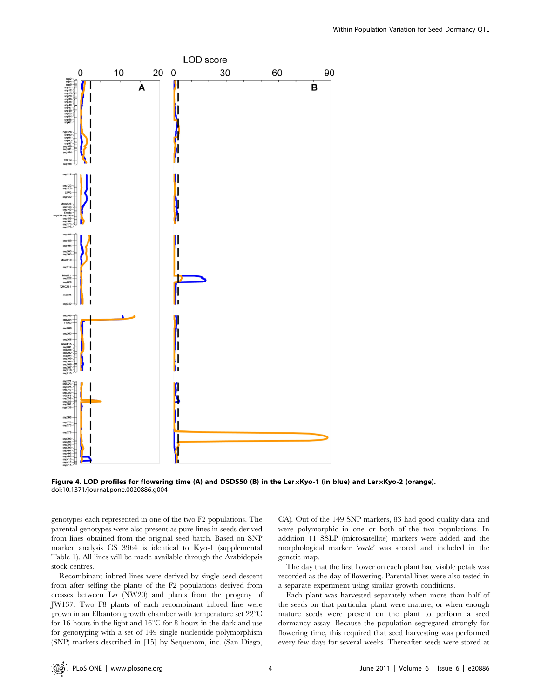

Figure 4. LOD profiles for flowering time (A) and DSDS50 (B) in the LerxKyo-1 (in blue) and LerxKyo-2 (orange). doi:10.1371/journal.pone.0020886.g004

genotypes each represented in one of the two F2 populations. The parental genotypes were also present as pure lines in seeds derived from lines obtained from the original seed batch. Based on SNP marker analysis CS 3964 is identical to Kyo-1 (supplemental Table 1). All lines will be made available through the Arabidopsis stock centres.

Recombinant inbred lines were derived by single seed descent from after selfing the plants of the F2 populations derived from crosses between Ler (NW20) and plants from the progeny of JW137. Two F8 plants of each recombinant inbred line were grown in an Elbanton growth chamber with temperature set  $22^{\circ}C$ for 16 hours in the light and  $16^{\circ}$ C for 8 hours in the dark and use for genotyping with a set of 149 single nucleotide polymorphism (SNP) markers described in [15] by Sequenom, inc. (San Diego,

CA). Out of the 149 SNP markers, 83 had good quality data and were polymorphic in one or both of the two populations. In addition 11 SSLP (microsatellite) markers were added and the morphological marker 'erecta' was scored and included in the genetic map.

The day that the first flower on each plant had visible petals was recorded as the day of flowering. Parental lines were also tested in a separate experiment using similar growth conditions.

Each plant was harvested separately when more than half of the seeds on that particular plant were mature, or when enough mature seeds were present on the plant to perform a seed dormancy assay. Because the population segregated strongly for flowering time, this required that seed harvesting was performed every few days for several weeks. Thereafter seeds were stored at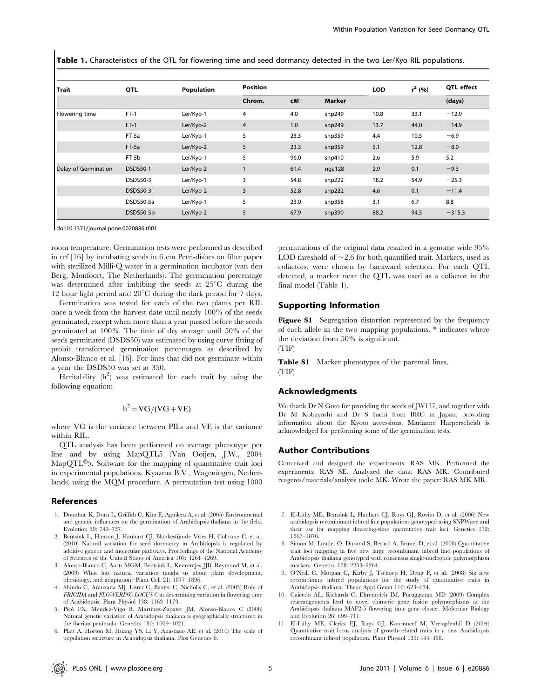Table 1. Characteristics of the QTL for flowering time and seed dormancy detected in the two Ler/Kyo RIL populations.

| <b>Trait</b>         | QTL             | Population | <b>Position</b> |      |               | <b>LOD</b> | $r^2$ (%) | <b>QTL</b> effect |
|----------------------|-----------------|------------|-----------------|------|---------------|------------|-----------|-------------------|
|                      |                 |            | Chrom.          | cM   | <b>Marker</b> |            |           | (days)            |
| Flowering time       | $FT-1$          | Ler/Kyo-1  | $\overline{4}$  | 4.0  | snp249        | 10.8       | 33.1      | $-12.9$           |
|                      | $FT-1$          | Ler/Kyo-2  | $\overline{4}$  | 1.0  | snp249        | 13.7       | 44.0      | $-14.9$           |
|                      | FT-5a           | Ler/Kyo-1  | 5               | 23.3 | snp359        | 4.4        | 10.5      | $-6.9$            |
|                      | FT-5a           | Ler/Kyo-2  | 5               | 23.3 | snp359        | 5.1        | 12.8      | $-8.0$            |
|                      | FT-5b           | Ler/Kyo-1  | 5               | 96.0 | snp410        | 2.6        | 5.9       | 5.2               |
| Delay of Germination | <b>DSDS50-1</b> | Ler/Kyo-2  |                 | 61.4 | nga128        | 2.9        | 0.1       | $-9.3$            |
|                      | <b>DSDS50-3</b> | Ler/Kyo-1  | 3               | 54.8 | snp222        | 18.2       | 54.9      | $-25.3$           |
|                      | DSDS50-3        | Ler/Kyo-2  | 3               | 52.8 | snp222        | 4.6        | 0.1       | $-11.4$           |
|                      | DSDS50-5a       | Ler/Kyo-1  | 5               | 23.0 | snp358        | 3.1        | 6.7       | 8.8               |
|                      | DSDS50-5b       | Ler/Kyo-2  | 5               | 67.9 | snp390        | 88.2       | 94.5      | $-315.3$          |

doi:10.1371/journal.pone.0020886.t001

room temperature. Germination tests were performed as described in ref [16] by incubating seeds in 6 cm Petri-dishes on filter paper with sterilized Milli-Q water in a germination incubator (van den Berg, Monfoort, The Netherlands). The germination percentage was determined after imbibing the seeds at  $25^{\circ}$ C during the 12 hour light period and  $20^{\circ}$ C during the dark period for 7 days.

Germination was tested for each of the two plants per RIL once a week from the harvest date until nearly 100% of the seeds germinated, except when more than a year passed before the seeds germinated at 100%. The time of dry storage until 50% of the seeds germinated (DSDS50) was estimated by using curve fitting of probit transformed germination percentages as described by Alonso-Blanco et al. [16]. For lines that did not germinate within a year the DSDS50 was set at 350.

Heritability  $(h^2)$  was estimated for each trait by using the following equation:

$$
h^2 = VG/(VG+VE)
$$

where VG is the variance between PILs and VE is the variance within RIL.

QTL analysis has been performed on average phenotype per line and by using MapQTL5 (Van Ooijen, J.W., 2004  $\text{MapQTL}^{\textcircled{\tiny{\text{B}}}}$ 5, Software for the mapping of quantitative trait loci in experimental populations. Kyazma B.V., Wageningen, Netherlands) using the MQM procedure. A permutation test using 1000

#### References

- 1. Donohue K, Dorn L, Griffith C, Kim E, Aguilera A, et al. (2005) Environmental and genetic influences on the germination of Arabidopsis thaliana in the field. Evolution 59: 740–757.
- 2. Bentsink L, Hanson J, Hanhart CJ, Blankestijn-de Vries H, Coltrane C, et al. (2010) Natural variation for seed dormancy in Arabidopsis is regulated by additive genetic and molecular pathways. Proceedings of the National Academy of Sciences of the United States of America 107: 4264–4269.
- 3. Alonso-Blanco C, Aarts MGM, Bentsink L, Keurentjes JJB, Reymond M, et al. (2009) What has natural variation taught us about plant development, physiology, and adaptation? Plant Cell 21: 1877–1896.
- 4. Shindo C, Aranzana MJ, Lister C, Baxter C, Nicholls C, et al. (2005) Role of FRIGIDA and FLOWERING LOCUS C in determining variation in flowering time of Arabidopsis. Plant Physiol 138: 1163–1173.
- 5. Pico´ FX, Mendez-Vigo B, Martinez-Zapater JM, Alonso-Blanco C (2008) Natural genetic variation of Arabidopsis thaliana is geographically structured in the iberian peninsula. Genetics 180: 1009–1021.
- 6. Platt A, Horton M, Huang YS, Li Y, Anastasio AE, et al. (2010) The scale of population structure in Arabidopsis thaliana. Plos Genetics 6.

permutations of the original data resulted in a genome wide 95% LOD threshold of  $\sim$  2.6 for both quantified trait. Markers, used as cofactors, were chosen by backward selection. For each QTL detected, a marker near the QTL was used as a cofactor in the final model (Table 1).

### Supporting Information

Figure S1 Segregation distortion represented by the frequency of each allele in the two mapping populations. \* indicates where the deviation from 50% is significant. (TIF)

Table S1 Marker phenotypes of the parental lines. (TIF)

#### Acknowledgments

We thank Dr N Goto for providing the seeds of JW137, and together with Dr M Kobayashi and Dr S Iuchi from BRC in Japan, providing information about the Kyoto accessions. Marianne Harperscheidt is acknowledged for performing some of the germination tests.

#### Author Contributions

Conceived and designed the experiments: RAS MK. Performed the experiments: RAS SE. Analyzed the data: RAS MR. Contributed reagents/materials/analysis tools: MK. Wrote the paper: RAS MK MR.

- 7. El-Lithy ME, Bentsink L, Hanhart CJ, Ruys GJ, Rovito D, et al. (2006) New arabidopsis recombinant inbred line populations genotyped using SNPWave and their use for mapping flowering-time quantitative trait loci. Genetics 172: 1867–1876.
- 8. Simon M, Loudet O, Durand S, Berard A, Brunel D, et al. (2008) Quantitative trait loci mapping in five new large recombinant inbred line populations of Arabidopsis thaliana genotyped with consensus single-nucleotide polymorphism markers. Genetics 178: 2253–2264.
- 9. O'Neill C, Morgan C, Kirby J, Tschoep H, Deng P, et al. (2008) Six new recombinant inbred populations for the study of quantitative traits in Arabidopsis thaliana. Theor Appl Genet 116: 623–634.
- 10. Caicedo AL, Richards C, Ehrenreich IM, Purugganan MD (2009) Complex rearrangements lead to novel chimeric gene fusion polymorphisms at the Arabidopsis thaliana MAF2-5 flowering time gene cluster. Molecular Biology and Evolution 26: 699–711.
- 11. El-Lithy ME, Clerkx EJ, Ruys GJ, Koornneef M, Vreugdenhil D (2004) Quantitative trait locus analysis of growth-related traits in a new Arabidopsis recombinant inbred population. Plant Physiol 135: 444–458.